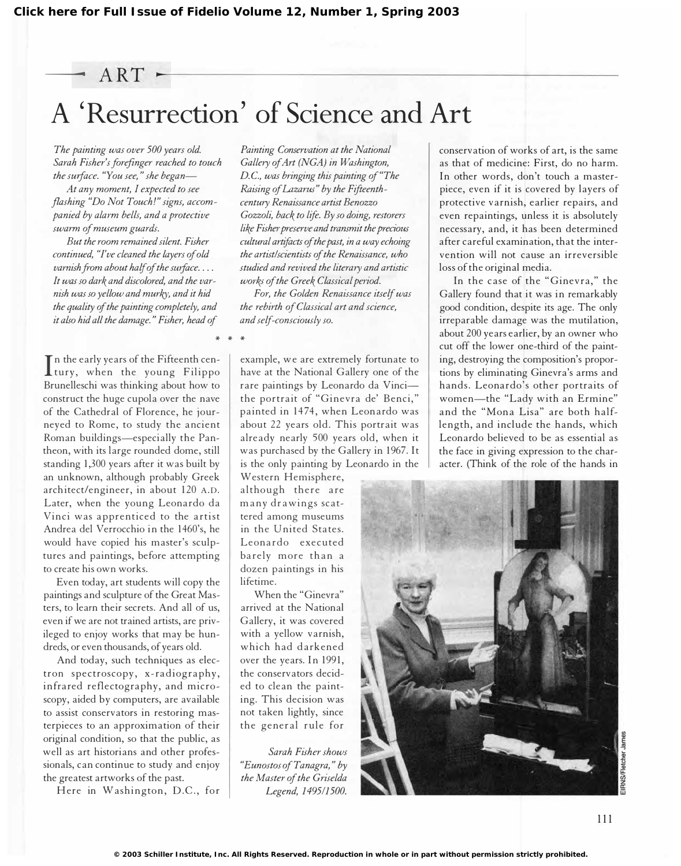\* \* \*

# A 'Resurrection' of Science and Art

The painting was over 500 years old. Sarah Fisher's forefinger reached to touch the surface. "You see," she began-

At any moment, I expected to see flashing "Do Not Touch!" signs, accompanied by alarm bells, and a protective swarm of museum guards.

But the room remained silent. Fisher continued, "I've cleaned the layers of old  $vanish$  from about half of the surface.... It was so dark and discolored, and the varnish was so yellow and murkY, and it hid the quality of the painting completely, and it also hid all the damage." Fisher, head of

In the early years of the Fifteenth centrury, when the young Filippo n the early years of the Fifteenth cen-Brunelleschi was thinking about how to construct the huge cupola over the nave of the Cathedral of Florence, he journeyed to Rome, to study the ancient Roman buildings-especially the Pantheon, with its large rounded dome, still standing 1,300 years after it was built by an unknown, although probably Greek architect/engineer, in about 120 A.D. Later, when the young Leonardo da Vinci was apprenticed to the artist Andrea del Verrocchio in the 1460's, he would have copied his master's sculptures and paintings, before attempting to create his own works.

Even today, art students will copy the paintings and sculpture of the Great Masters, to learn their secrets. And all of us, even if we are not trained artists, are privileged to enjoy works that may be hundreds, or even thousands, of years old.

And today, such techniques as electron spectroscopy, x-radiography, infrared reflectography, and microscopy, aided by computers, are available to assist conservators in restoring masterpieces to an approximation of their original condition, so that the public, as well as art historians and other professionals, can continue to study and enjoy the greatest artworks of the past.

Here in Washington, D.C., for

Painting Comervation at the National Gallery of Art (NGA) in Washington, D.C., was bringing this painting of "The Raising of Lazarus" by the Fifieenthcentury Renaissance artist Benozzo Gozzoli, back to life. By so doing, restorers like Fisher preserve and trammit the precious cultural artifacts of the past, in a way echoing the artist/scientists of the Renaissance, who studied and revived the literary and artistic works of the Greek Classical period.

For, the Golden Renaissance itself was the rebirth of Classical art and science, and self-consciously so.

example, we are extremely fortunate to have at the National Gallery one of the rare paintings by Leonardo da Vincithe portrait of "Ginevra de' Benci," painted in 1474, when Leonardo was about 22 years old. This portrait was already nearly 500 years old, when it was purchased by the Gallery in 1967. It is the only painting by Leonardo in the

Western Hemisphere, although there are many drawings scattered among museums in the United States. Leonardo executed barely more than a dozen paintings in his lifetime.

When the "Ginevra" arrived at the National Gallery, it was covered with a yellow varnish, which had darkened over the years. In 1991, the conservators decided to clean the painting. This decision was not taken lightly, since the general rule for

Sarah Fisher shows "Eunostos of Tanagra," by the Master of the Griselda Legend, 149511500.

conservation of works of art, is the same as that of medicine: First, do no harm. In other words, don't touch a masterpiece, even if it is covered by layers of protective varnish, earlier repairs, and even repaintings, unless it is absolutely necessary, and, it has been determined after careful examination, that the intervention will not cause an irreversible loss of the original media.

In the case of the "Ginevra," the Gallery found that it was in remarkably good condition, despite its age. The only irreparable damage was the mutilation, about 200 years earlier, by an owner who cut off the lower one-third of the painting, destroying the composition's proportions by eliminating Ginevra's arms and hands. Leonardo's other portraits of women-the "Lady with an Ermine" and the "Mona Lisa" are both halflength, and include the hands, which Leonardo believed to be as essential as the face in giving expression to the character. (Think of the role of the hands in

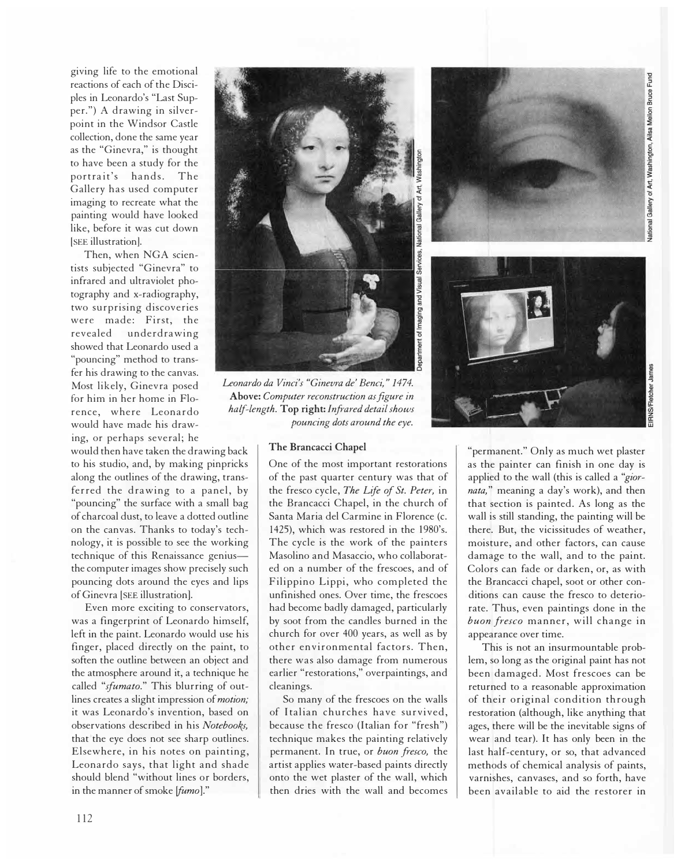giving life to the emotional reactions of each of the Disciples in Leonardo's "Last Supper.") A drawing in silverpoint in the Windsor Castle collection, done the same year as the "Ginevra," is thought to have been a study for the portrait's hands. The Gallery has used computer imaging to recreate what the painting would have looked like, before it was cut down [SEE illustration].

Then, when NGA scientists subjected "Ginevra" to infrared and ultraviolet photography and x-radiography, two surprising discoveries were made: First, the revealed underdrawing showed that Leonardo used a "pouncing" method to transfer his drawing to the canvas. Most likely, Ginevra posed for him in her home in Florence, where Leonardo would have made his drawing, or perhaps several; he

would then have taken the drawing back to his studio, and, by making pinpricks along the outlines of the drawing, transferred the drawing to a panel, by "pouncing" the surface with a small bag of charcoal dust, to leave a dotted outline on the canvas. Thanks to today's technology, it is possible to see the working technique of this Renaissance geniusthe computer images show precisely such pouncing dots around the eyes and lips of Ginevra [SEE illustration].

Even more exciting to conservators, was a fingerprint of Leonardo himself, left in the paint. Leonardo would use his finger, placed directly on the paint, to soften the outline between an object and the atmosphere around it, a technique he called "sfumato." This blurring of outlines creates a slight impression of motion; it was Leonardo's invention, based on observations described in his Notebooks, that the eye does not see sharp outlines. Elsewhere, in his notes on painting, Leonardo says, that light and shade should blend "without lines or borders, in the manner of smoke (fumo]."



Leonardo da Vinci's "Ginevra de' Benci," 1474. Above: Computer reconstruction as figure in half-length. Top right: Infrared detail shows pouncing dots around the eye.

### The Brancacci Chapel

One of the most important restorations of the past quarter century was that of the fresco cycle, The Life of St. Peter, in the Brancacci Chapel, in the church of Santa Maria del Carmine in Florence (c. 1425), which was restored in the 1980's. The cycle is the work of the painters Masolino and Masaccio, who collaborated on a number of the frescoes, and of Filippino Lippi, who completed the unfinished ones. Over time, the frescoes had become badly damaged, particularly by soot from the candles burned in the church for over 400 years, as well as by other environmental factors. Then, there was also damage from numerous earlier "restorations," overpaintings, and cleanings.

So many of the frescoes on the walls of Italian churches have survived, because the fresco (Italian for "fresh") technique makes the painting relatively permanent. In true, or buon fresco, the artist applies water-based paints directly onto the wet plaster of the wall, which then dries with the wall and becomes



"permanent." Only as much wet plaster as the painter can finish in one day is applied to the wall (this is called a "giornata," meaning a day's work), and then that section is painted. As long as the wall is still standing, the painting will be there. But, the vicissitudes of weather, moisture, and other factors, can cause damage to the wall, and to the paint. Colors can fade or darken, or, as with the Brancacci chapel, soot or other conditions can cause the fresco to deteriorate. Thus, even paintings done in the buon fresco manner, will change in appearance over time.

This is not an insurmountable problem, so long as the original paint has not been damaged. Most frescoes can be returned to a reasonable approximation of their original condition through restoration (although, like anything that ages, there will be the inevitable signs of wear and tear). It has only been in the last half-century, or so, that advanced methods of chemical analysis of paints, varnishes, canvases, and so forth, have been available to aid the restorer in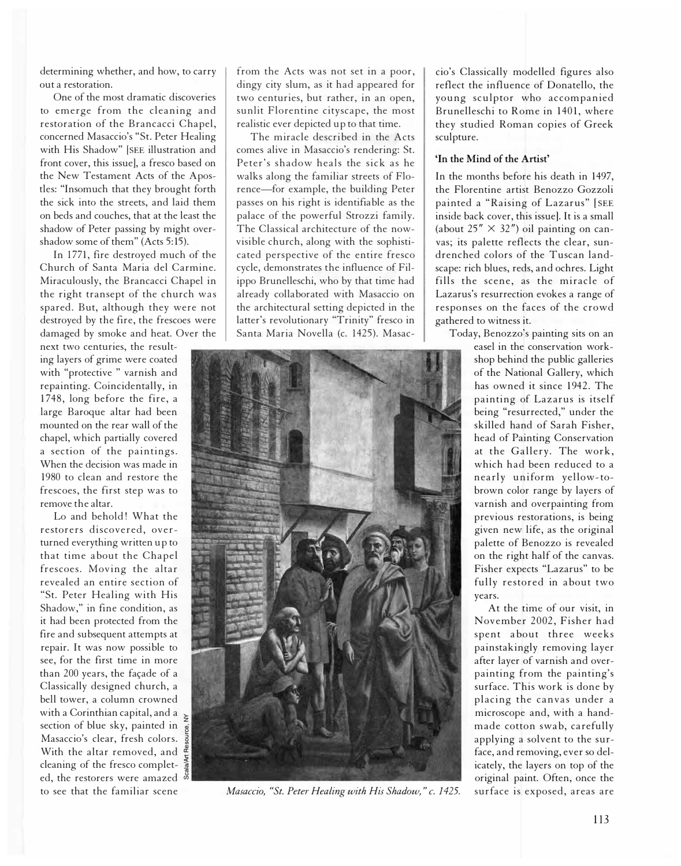determining whether, and how, to carry out a restoration.

One of the most dramatic discoveries to emerge from the cleaning and restoration of the Brancacci Chapel, concerned Masaccio's "St. Peter Healing with His Shadow" [SEE illustration and front cover, this issue], a fresco based on the New Testament Acts of the Apostles: "Insomuch that they brought forth the sick into the streets, and laid them on beds and couches, that at the least the shadow of Peter passing by might overshadow some of them" (Acts 5:15).

In 1771, fire destroyed much of the Church of Santa Maria del Carmine. Miraculously, the Brancacci Chapel in the right transept of the church was spared. But, although they were not destroyed by the fire, the frescoes were damaged by smoke and heat. Over the

next two centuries, the resulting layers of grime were coated with "protective " varnish and repainting. Coincidentally, in 1748, long before the fire, a large Baroque altar had been mounted on the rear wall of the chapel, which partially covered a section of the paintings. When the decision was made in 1980 to clean and restore the frescoes, the first step was to remove the altar.

Lo and behold! What the restorers discovered, overturned everything written up to that time about the Chapel frescoes. Moving the altar revealed an entire section of "St. Peter Healing with His Shadow," in fine condition, as it had been protected from the fire and subsequent attempts at repair. It was now possible to see, for the first time in more than 200 years, the façade of a Classically designed church, a bell tower, a column crowned with a Corinthian capital, and a  $\sim$ section of blue sky, painted in Masaccio's clear, fresh colors. With the altar removed, and cleaning of the fresco completed, the restorers were amazed to see that the familiar scene

from the Acts was not set in a poor, dingy city slum, as it had appeared for two centuries, but rather, in an open, sunlit Florentine cityscape, the most realistic ever depicted up to that time.

The miracle described in the Acts comes alive in Masaccio's rendering: St. Peter's shadow heals the sick as he walks along the familiar streets of Florence-for example, the building Peter passes on his right is identifiable as the palace of the powerful Strozzi family. The Classical architecture of the nowvisible church, along with the sophisticated perspective of the entire fresco cycle, demonstrates the influence of Filippo Brunelleschi, who by that time had already collaborated with Masaccio on the architectural setting depicted in the latter's revolutionary "Trinity" fresco in Santa Maria Novella (c. 1425). Masac-



Masaccio, "St. Peter Healing with His Shadow," c. 1425. surface is exposed, areas are

cio's Classically modelled figures also reflect the influence of Donatello, the young sculptor who accompanied Brunelleschi to Rome in 1401, where they studied Roman copies of Greek sculpture.

## 'In the Mind of the Artist'

In the months before his death in 1497, the Florentine artist Benozzo Gozzoli painted a "Raising of Lazarus" [SEE inside back cover, this issue]. It is a small (about  $25'' \times 32''$ ) oil painting on canvas; its palette reflects the clear, sundrenched colors of the Tuscan landscape: rich blues, reds, and ochres. Light fills the scene, as the miracle of Lazarus's resurrection evokes a range of responses on the faces of the crowd gathered to witness it.

Today, Benozzo's painting sits on an

easel in the conservation workshop behind the public galleries of the National Gallery, which has owned it since 1942. The painting of Lazarus is itself being "resurrected," under the skilled hand of Sarah Fisher, head of Painting Conservation at the Gallery. The work, which had been reduced to a nearly uniform yellow-tobrown color range by layers of varnish and overpainting from previous restorations, is being given new life, as the original palette of Benozzo is revealed on the right half of the canvas. Fisher expects "Lazarus" to be fully restored in about two years.

At the time of our visit, in November 2002, Fisher had spent about three weeks painstakingly removing layer after layer of varnish and overpainting from the painting's surface. This work is done by placing the canvas under a microscope and, with a handmade cotton swab, carefully applying a solvent to the surface, and removing, ever so delicately, the layers on top of the original paint. Often, once the